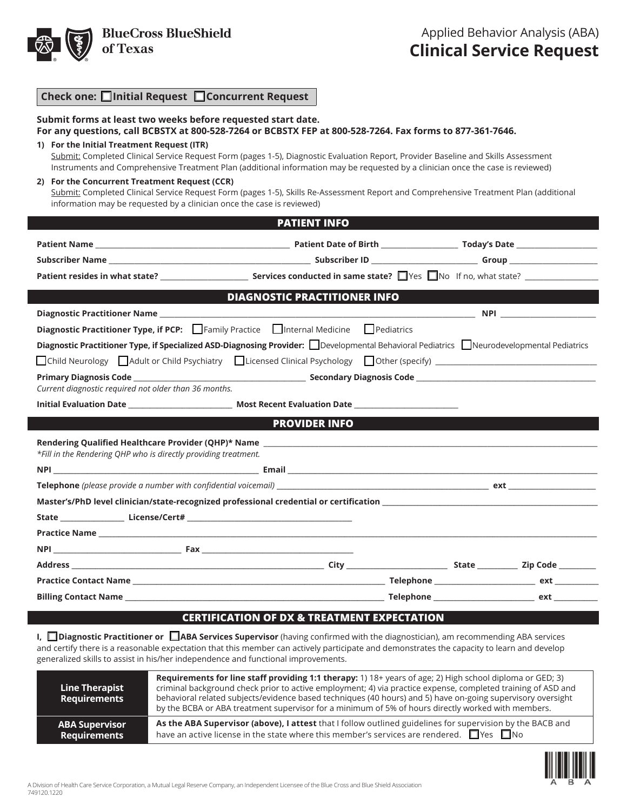

| Check one: □Initial Request □ Concurrent Request |  |
|--------------------------------------------------|--|
|--------------------------------------------------|--|

| Submit forms at least two weeks before requested start date.<br>For any questions, call BCBSTX at 800-528-7264 or BCBSTX FEP at 800-528-7264. Fax forms to 877-361-7646.                                                                                                                                            |                                                                                                                                                                                                                                    |  |
|---------------------------------------------------------------------------------------------------------------------------------------------------------------------------------------------------------------------------------------------------------------------------------------------------------------------|------------------------------------------------------------------------------------------------------------------------------------------------------------------------------------------------------------------------------------|--|
| 1) For the Initial Treatment Request (ITR)<br>Submit: Completed Clinical Service Request Form (pages 1-5), Diagnostic Evaluation Report, Provider Baseline and Skills Assessment<br>Instruments and Comprehensive Treatment Plan (additional information may be requested by a clinician once the case is reviewed) |                                                                                                                                                                                                                                    |  |
| 2) For the Concurrent Treatment Request (CCR)<br>Submit: Completed Clinical Service Request Form (pages 1-5), Skills Re-Assessment Report and Comprehensive Treatment Plan (additional<br>information may be requested by a clinician once the case is reviewed)                                                    |                                                                                                                                                                                                                                    |  |
|                                                                                                                                                                                                                                                                                                                     | <b>PATIENT INFO</b>                                                                                                                                                                                                                |  |
|                                                                                                                                                                                                                                                                                                                     |                                                                                                                                                                                                                                    |  |
|                                                                                                                                                                                                                                                                                                                     |                                                                                                                                                                                                                                    |  |
|                                                                                                                                                                                                                                                                                                                     |                                                                                                                                                                                                                                    |  |
| $\mathcal{L}^{\text{max}}_{\text{max}}$ and $\mathcal{L}^{\text{max}}_{\text{max}}$ and $\mathcal{L}^{\text{max}}_{\text{max}}$                                                                                                                                                                                     | <b>DIAGNOSTIC PRACTITIONER INFO EXAMPLE 2020 THE STATE OF A STATE OF A STATE OF A STATE OF A STATE OF A STATE OF A STATE OF A STATE OF A STATE OF A STATE OF A STATE OF A STATE OF A STATE OF A STATE OF A STATE OF A STATE OF</b> |  |
|                                                                                                                                                                                                                                                                                                                     |                                                                                                                                                                                                                                    |  |
| Diagnostic Practitioner Type, if PCP: Family Practice Internal Medicine Pediatrics                                                                                                                                                                                                                                  |                                                                                                                                                                                                                                    |  |
| Diagnostic Practitioner Type, if Specialized ASD-Diagnosing Provider: Developmental Behavioral Pediatrics Neurodevelopmental Pediatrics                                                                                                                                                                             |                                                                                                                                                                                                                                    |  |
|                                                                                                                                                                                                                                                                                                                     |                                                                                                                                                                                                                                    |  |
| Current diagnostic required not older than 36 months.                                                                                                                                                                                                                                                               |                                                                                                                                                                                                                                    |  |
|                                                                                                                                                                                                                                                                                                                     |                                                                                                                                                                                                                                    |  |
|                                                                                                                                                                                                                                                                                                                     | <b>PROVIDER INFO</b>                                                                                                                                                                                                               |  |
| Rendering Qualified Healthcare Provider (QHP)* Name _____________________________<br>*Fill in the Rendering QHP who is directly providing treatment.                                                                                                                                                                |                                                                                                                                                                                                                                    |  |
|                                                                                                                                                                                                                                                                                                                     |                                                                                                                                                                                                                                    |  |
|                                                                                                                                                                                                                                                                                                                     |                                                                                                                                                                                                                                    |  |
|                                                                                                                                                                                                                                                                                                                     |                                                                                                                                                                                                                                    |  |
|                                                                                                                                                                                                                                                                                                                     |                                                                                                                                                                                                                                    |  |
|                                                                                                                                                                                                                                                                                                                     |                                                                                                                                                                                                                                    |  |
|                                                                                                                                                                                                                                                                                                                     |                                                                                                                                                                                                                                    |  |
|                                                                                                                                                                                                                                                                                                                     |                                                                                                                                                                                                                                    |  |

#### **CERTIFICATION OF DX & TREATMENT EXPECTATION**

**I, □ Diagnostic Practitioner or □ ABA Services Supervisor** (having confirmed with the diagnostician), am recommending ABA services and certify there is a reasonable expectation that this member can actively participate and demonstrates the capacity to learn and develop generalized skills to assist in his/her independence and functional improvements.

**Practice Contact Name \_\_\_\_\_\_\_\_\_\_\_\_\_\_\_\_\_\_\_\_\_\_\_\_\_\_\_\_\_\_\_\_\_\_\_\_\_\_\_\_\_\_\_\_\_\_\_\_\_\_\_\_\_\_\_\_\_\_\_\_\_\_\_\_\_\_\_\_\_\_\_\_\_\_\_ Telephone \_\_\_\_\_\_\_\_\_\_\_\_\_\_\_\_\_\_\_\_\_\_\_\_\_\_\_\_\_\_ ext \_\_\_\_\_\_\_\_\_\_\_\_\_ Billing Contact Name \_\_\_\_\_\_\_\_\_\_\_\_\_\_\_\_\_\_\_\_\_\_\_\_\_\_\_\_\_\_\_\_\_\_\_\_\_\_\_\_\_\_\_\_\_\_\_\_\_\_\_\_\_\_\_\_\_\_\_\_\_\_\_\_\_\_\_\_\_\_\_\_\_\_\_\_\_ Telephone \_\_\_\_\_\_\_\_\_\_\_\_\_\_\_\_\_\_\_\_\_\_\_\_\_\_\_\_\_\_ ext \_\_\_\_\_\_\_\_\_\_\_\_\_**

| <b>Line Therapist</b><br>Requirements | Requirements for line staff providing 1:1 therapy: 1) 18+ years of age; 2) High school diploma or GED; 3)<br>criminal background check prior to active employment; 4) via practice expense, completed training of ASD and<br>behavioral related subjects/evidence based techniques (40 hours) and 5) have on-going supervisory oversight<br>by the BCBA or ABA treatment supervisor for a minimum of 5% of hours directly worked with members. |
|---------------------------------------|------------------------------------------------------------------------------------------------------------------------------------------------------------------------------------------------------------------------------------------------------------------------------------------------------------------------------------------------------------------------------------------------------------------------------------------------|
| <b>ABA Supervisor</b>                 | As the ABA Supervisor (above), I attest that I follow outlined guidelines for supervision by the BACB and                                                                                                                                                                                                                                                                                                                                      |
| Requirements                          | have an active license in the state where this member's services are rendered. $\square$ Yes $\square$ No                                                                                                                                                                                                                                                                                                                                      |

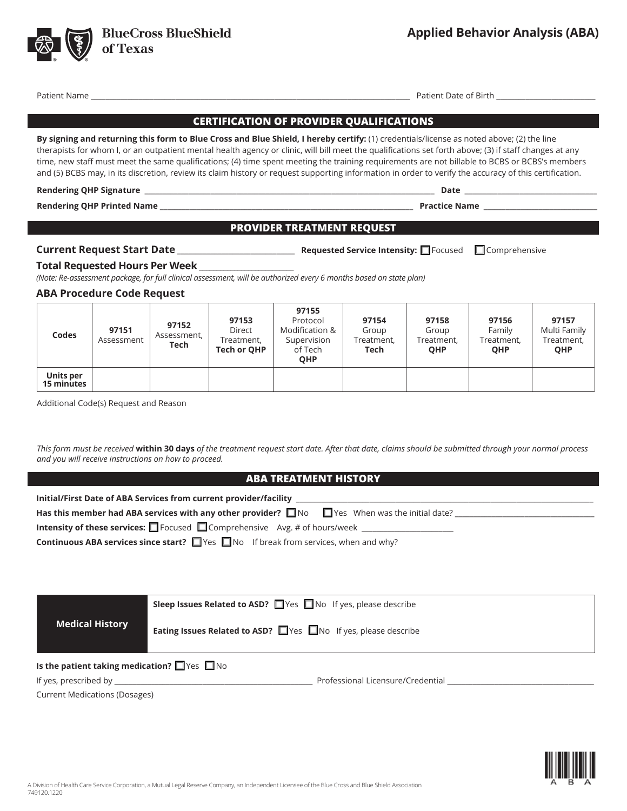

**BlueCross BlueShield** 

of Texas

Additional Code(s) Request and Reason

**Units per 15 minutes**

*This form must be received* **within 30 days** *of the treatment request start date. After that date, claims should be submitted through your normal process and you will receive instructions on how to proceed.*

| A Division of Health Care Service Corporation, a Mutual Legal Reserve Company, an Independent Licensee of the Blue Cross and Blue Shield Association<br>749120.1220 |  |
|---------------------------------------------------------------------------------------------------------------------------------------------------------------------|--|

## **CERTIFICATION OF PROVIDER QUALIFICATIONS**

**By signing and returning this form to Blue Cross and Blue Shield, I hereby certify:** (1) credentials/license as noted above; (2) the line therapists for whom I, or an outpatient mental health agency or clinic, will bill meet the qualifications set forth above; (3) if staff changes at any time, new staff must meet the same qualifications; (4) time spent meeting the training requirements are not billable to BCBS or BCBS's members and (5) BCBS may, in its discretion, review its claim history or request supporting information in order to verify the accuracy of this certification.

#### **Rendering QHP Signature** \_\_\_\_\_\_\_\_\_\_\_\_\_\_\_\_\_\_\_\_\_\_\_\_\_\_\_\_\_\_\_\_\_\_\_\_\_\_\_\_\_\_\_\_\_\_\_\_\_\_\_\_\_\_\_\_\_\_\_\_\_\_\_\_\_\_\_\_\_\_\_\_\_\_\_\_\_\_\_ **Date** \_\_\_\_\_\_\_\_\_\_\_\_\_\_\_\_\_\_\_\_\_\_\_\_\_\_\_\_\_\_\_\_\_\_\_\_

**Rendering QHP Printed Name** \_\_\_\_\_\_\_\_\_\_\_\_\_\_\_\_\_\_\_\_\_\_\_\_\_\_\_\_\_\_\_\_\_\_\_\_\_\_\_\_\_\_\_\_\_\_\_\_\_\_\_\_\_\_\_\_\_\_\_\_\_\_\_\_\_\_\_\_\_ **Practice Name** \_\_\_\_\_\_\_\_\_\_\_\_\_\_\_\_\_\_\_\_\_\_\_\_\_\_\_\_\_\_\_

### **PROVIDER TREATMENT REQUEST**

**97155** Protocol

**97154** Group Treatment, **Tech**

**Current Request Start Date** \_\_\_\_\_\_\_\_\_\_\_\_\_\_\_\_\_\_\_\_\_\_\_\_\_\_\_\_\_\_\_\_ **Requested Service Intensity:** Focused Comprehensive

# **Total Requested Hours Per Week** \_\_\_\_\_\_\_\_\_\_\_\_\_\_\_\_\_\_\_\_\_\_\_\_\_\_\_

*(Note: Re-assessment package, for full clinical assessment, will be authorized every 6 months based on state plan)*

**97153**

# **ABA Procedure Code Request**

|  | This form must be received within 30 days of the treatment request start date. After that date, claims should be submitted through your normal process |
|--|--------------------------------------------------------------------------------------------------------------------------------------------------------|

# **ABA TREATMENT HISTORY**

| Has this member had ABA services with any other provider? $\Box$ No $\Box$ Yes When was the initial date? |
|-----------------------------------------------------------------------------------------------------------|
| <b>Intensity of these services:</b> $\Box$ Focused $\Box$ Comprehensive Avg. # of hours/week $\Box$       |
| <b>Continuous ABA services since start?</b> $\Box$ Yes $\Box$ No If break from services, when and why?    |
|                                                                                                           |
|                                                                                                           |
|                                                                                                           |
|                                                                                                           |

|                                                                                                                 | Sleep Issues Related to ASD? Ves No If yes, please describe    |                                   |  |
|-----------------------------------------------------------------------------------------------------------------|----------------------------------------------------------------|-----------------------------------|--|
| <b>Medical History</b>                                                                                          | Eating Issues Related to ASD? Thes Tho If yes, please describe |                                   |  |
| Is the patient taking medication? $\Box$ Yes $\Box$ No                                                          |                                                                |                                   |  |
| If yes, prescribed by the state of the state of the state of the state of the state of the state of the state o |                                                                | Professional Licensure/Credential |  |
| <b>Current Medications (Dosages)</b>                                                                            |                                                                |                                   |  |

**97156** Family Treatment, **QHP**

**97157** Multi Family Treatment, **QHP**



**97158** Group Treatment, **QHP**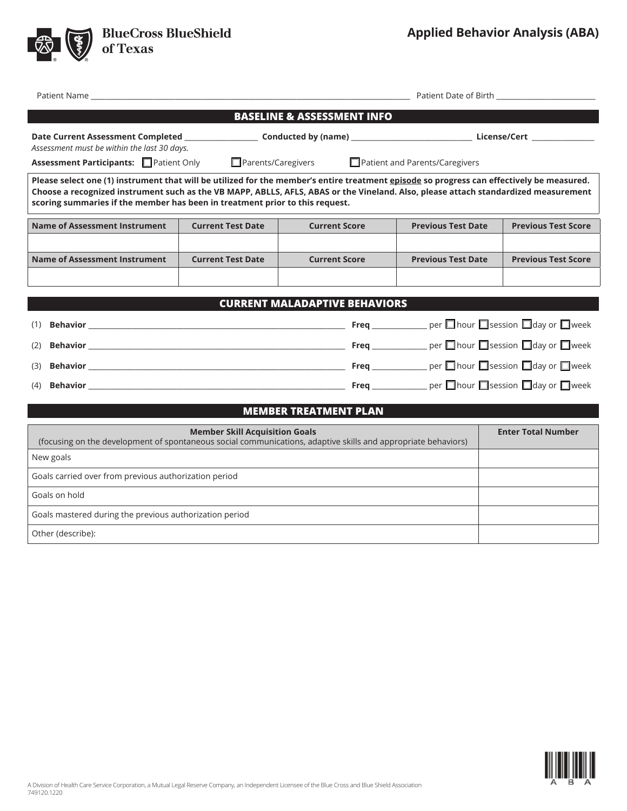

**BlueCross BlueShield<br>of Texas** 

| Patient Name                                                                                                                                                                                                                                                                                                                                                     |                           |                                      |                                                          |                            |  |  |  |
|------------------------------------------------------------------------------------------------------------------------------------------------------------------------------------------------------------------------------------------------------------------------------------------------------------------------------------------------------------------|---------------------------|--------------------------------------|----------------------------------------------------------|----------------------------|--|--|--|
| <b>BASELINE &amp; ASSESSMENT INFO</b>                                                                                                                                                                                                                                                                                                                            |                           |                                      |                                                          |                            |  |  |  |
| Assessment must be within the last 30 days.                                                                                                                                                                                                                                                                                                                      |                           |                                      |                                                          |                            |  |  |  |
| Assessment Participants: Patient Only                                                                                                                                                                                                                                                                                                                            | $\Box$ Parents/Caregivers |                                      | Patient and Parents/Caregivers                           |                            |  |  |  |
| Please select one (1) instrument that will be utilized for the member's entire treatment episode so progress can effectively be measured.<br>Choose a recognized instrument such as the VB MAPP, ABLLS, AFLS, ABAS or the Vineland. Also, please attach standardized measurement<br>scoring summaries if the member has been in treatment prior to this request. |                           |                                      |                                                          |                            |  |  |  |
| <b>Name of Assessment Instrument</b>                                                                                                                                                                                                                                                                                                                             | <b>Current Test Date</b>  | <b>Current Score</b>                 | <b>Previous Test Date</b>                                | <b>Previous Test Score</b> |  |  |  |
|                                                                                                                                                                                                                                                                                                                                                                  |                           |                                      |                                                          |                            |  |  |  |
| <b>Name of Assessment Instrument</b>                                                                                                                                                                                                                                                                                                                             | <b>Current Test Date</b>  | <b>Current Score</b>                 | <b>Previous Test Date</b>                                | <b>Previous Test Score</b> |  |  |  |
|                                                                                                                                                                                                                                                                                                                                                                  |                           |                                      |                                                          |                            |  |  |  |
|                                                                                                                                                                                                                                                                                                                                                                  |                           |                                      |                                                          |                            |  |  |  |
|                                                                                                                                                                                                                                                                                                                                                                  |                           | <b>CURRENT MALADAPTIVE BEHAVIORS</b> |                                                          |                            |  |  |  |
| (1)                                                                                                                                                                                                                                                                                                                                                              |                           |                                      |                                                          |                            |  |  |  |
| (2)                                                                                                                                                                                                                                                                                                                                                              |                           |                                      | Freq ______________ per □ hour □ session □ day or □ week |                            |  |  |  |
| (3)                                                                                                                                                                                                                                                                                                                                                              |                           |                                      |                                                          |                            |  |  |  |
| (4)                                                                                                                                                                                                                                                                                                                                                              |                           |                                      |                                                          |                            |  |  |  |
| <b>MEMBER TREATMENT PLAN</b>                                                                                                                                                                                                                                                                                                                                     |                           |                                      |                                                          |                            |  |  |  |
|                                                                                                                                                                                                                                                                                                                                                                  |                           |                                      |                                                          |                            |  |  |  |
| <b>Member Skill Acquisition Goals</b><br><b>Enter Total Number</b><br>(focusing on the development of spontaneous social communications, adaptive skills and appropriate behaviors)                                                                                                                                                                              |                           |                                      |                                                          |                            |  |  |  |
| New goals                                                                                                                                                                                                                                                                                                                                                        |                           |                                      |                                                          |                            |  |  |  |
| Goals carried over from previous authorization period                                                                                                                                                                                                                                                                                                            |                           |                                      |                                                          |                            |  |  |  |
| Goals on hold                                                                                                                                                                                                                                                                                                                                                    |                           |                                      |                                                          |                            |  |  |  |
| Goals mastered during the previous authorization period                                                                                                                                                                                                                                                                                                          |                           |                                      |                                                          |                            |  |  |  |
| Other (describe):                                                                                                                                                                                                                                                                                                                                                |                           |                                      |                                                          |                            |  |  |  |
|                                                                                                                                                                                                                                                                                                                                                                  |                           |                                      |                                                          |                            |  |  |  |

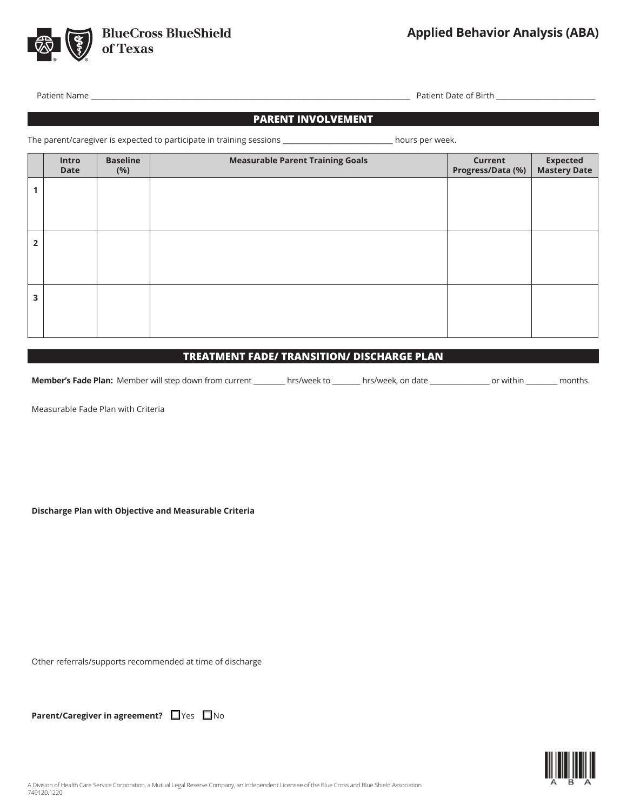

Patient Name \_\_\_\_\_\_\_\_\_\_\_\_\_\_\_\_\_\_\_\_\_\_\_\_\_\_\_\_\_\_\_\_\_\_\_\_\_\_\_\_\_\_\_\_\_\_\_\_\_\_\_\_\_\_\_\_\_\_\_\_\_\_\_\_\_\_\_\_\_\_\_\_\_\_\_\_\_\_\_\_\_\_\_\_\_\_\_ Patient Date of Birth \_\_\_\_\_\_\_\_\_\_\_\_\_\_\_\_\_\_\_\_\_\_\_\_\_\_\_

# **PARENT INVOLVEMENT**

The parent/caregiver is expected to participate in training sessions \_\_\_\_\_\_\_\_\_\_\_\_\_\_\_\_\_\_\_\_\_\_\_\_\_\_\_\_\_ hours per week.

|                | Intro<br><b>Date</b> | <b>Baseline</b><br>(%) | <b>Measurable Parent Training Goals</b> | Current<br>Progress/Data (%) | Expected<br>Mastery Date |
|----------------|----------------------|------------------------|-----------------------------------------|------------------------------|--------------------------|
|                |                      |                        |                                         |                              |                          |
|                |                      |                        |                                         |                              |                          |
| $\overline{2}$ |                      |                        |                                         |                              |                          |
|                |                      |                        |                                         |                              |                          |
|                |                      |                        |                                         |                              |                          |
| 3              |                      |                        |                                         |                              |                          |
|                |                      |                        |                                         |                              |                          |

#### **TREATMENT FADE/ TRANSITION/ DISCHARGE PLAN**

**Member's Fade Plan:** Member will step down from current \_\_\_\_\_\_\_\_\_ hrs/week to \_\_\_\_\_\_\_\_ hrs/week, on date \_\_\_\_\_\_\_\_\_\_\_\_\_\_ or within \_\_\_\_\_\_\_\_ months.

Measurable Fade Plan with Criteria

**Discharge Plan with Objective and Measurable Criteria**

Other referrals/supports recommended at time of discharge

**Parent/Caregiver in agreement?** Nes  $\Box$  No